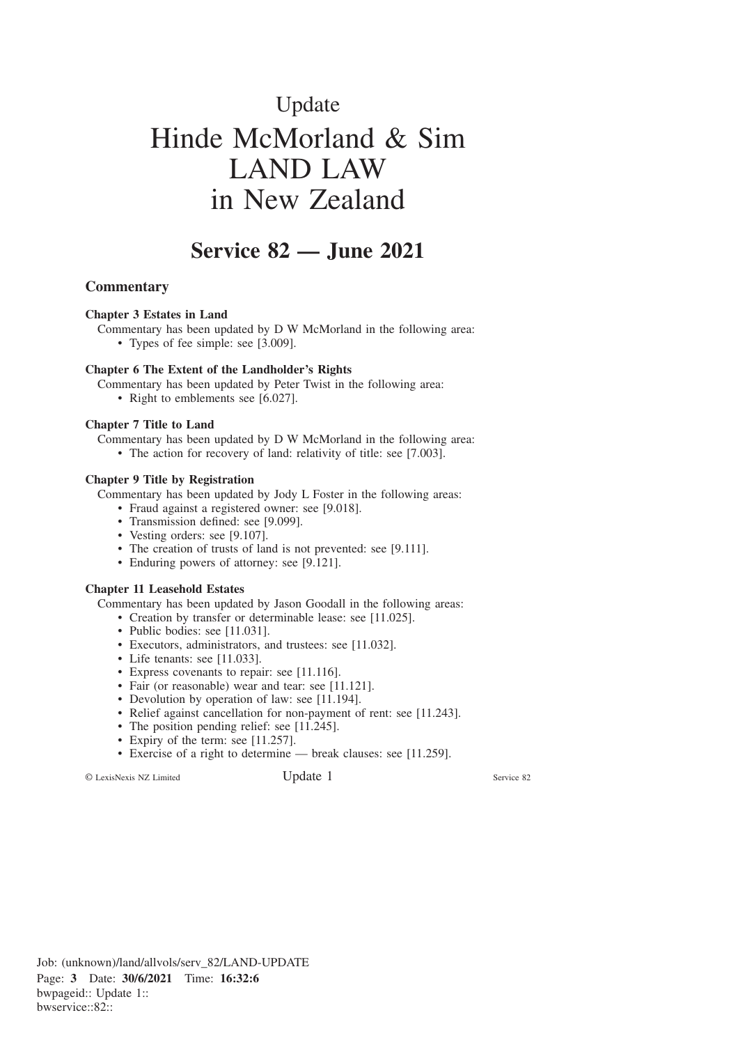# Update Hinde McMorland & Sim LAND LAW in New Zealand

# **Service 82 — June 2021**

## **Commentary**

#### **Chapter 3 Estates in Land**

Commentary has been updated by D W McMorland in the following area:

• Types of fee simple: see [3.009].

#### **Chapter 6 The Extent of the Landholder's Rights**

Commentary has been updated by Peter Twist in the following area:

• Right to emblements see [6.027].

#### **Chapter 7 Title to Land**

Commentary has been updated by D W McMorland in the following area:

• The action for recovery of land: relativity of title: see [7.003].

## **Chapter 9 Title by Registration**

Commentary has been updated by Jody L Foster in the following areas:

- Fraud against a registered owner: see [9.018].
- Transmission defined: see [9.099].
- Vesting orders: see [9.107].
- The creation of trusts of land is not prevented: see [9.111].
- Enduring powers of attorney: see [9.121].

#### **Chapter 11 Leasehold Estates**

Commentary has been updated by Jason Goodall in the following areas:

- Creation by transfer or determinable lease: see [11.025].
- Public bodies: see [11.031].
- Executors, administrators, and trustees: see [11.032].
- Life tenants: see [11.033].
- Express covenants to repair: see [11.116].
- Fair (or reasonable) wear and tear: see [11.121].
- Devolution by operation of law: see [11.194].
- Relief against cancellation for non-payment of rent: see [11.243].
- The position pending relief: see [11.245].
- Expiry of the term: see [11.257].
- Exercise of a right to determine break clauses: see [11.259].

© LexisNexis NZ Limited Update 1 Service 82